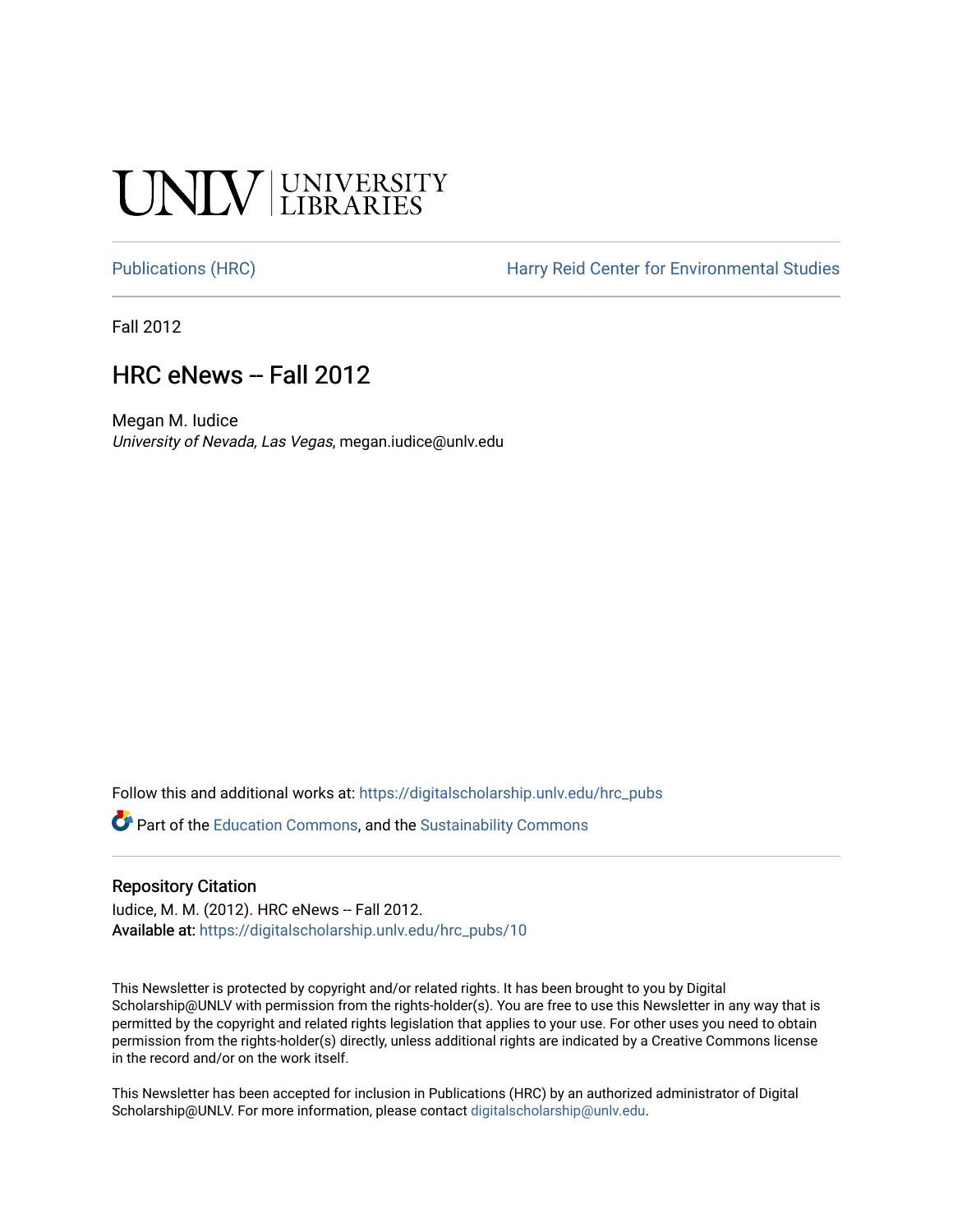# **CINITY UNIVERSITY**

[Publications \(HRC\)](https://digitalscholarship.unlv.edu/hrc_pubs) **Harry Reid Center for Environmental Studies** 

Fall 2012

# HRC eNews -- Fall 2012

Megan M. Iudice University of Nevada, Las Vegas, megan.iudice@unlv.edu

Follow this and additional works at: [https://digitalscholarship.unlv.edu/hrc\\_pubs](https://digitalscholarship.unlv.edu/hrc_pubs?utm_source=digitalscholarship.unlv.edu%2Fhrc_pubs%2F10&utm_medium=PDF&utm_campaign=PDFCoverPages)

Part of the [Education Commons](http://network.bepress.com/hgg/discipline/784?utm_source=digitalscholarship.unlv.edu%2Fhrc_pubs%2F10&utm_medium=PDF&utm_campaign=PDFCoverPages), and the [Sustainability Commons](http://network.bepress.com/hgg/discipline/1031?utm_source=digitalscholarship.unlv.edu%2Fhrc_pubs%2F10&utm_medium=PDF&utm_campaign=PDFCoverPages)

# Repository Citation

Iudice, M. M. (2012). HRC eNews -- Fall 2012. Available at: [https://digitalscholarship.unlv.edu/hrc\\_pubs/10](https://digitalscholarship.unlv.edu/hrc_pubs/10) 

This Newsletter is protected by copyright and/or related rights. It has been brought to you by Digital Scholarship@UNLV with permission from the rights-holder(s). You are free to use this Newsletter in any way that is permitted by the copyright and related rights legislation that applies to your use. For other uses you need to obtain permission from the rights-holder(s) directly, unless additional rights are indicated by a Creative Commons license in the record and/or on the work itself.

This Newsletter has been accepted for inclusion in Publications (HRC) by an authorized administrator of Digital Scholarship@UNLV. For more information, please contact [digitalscholarship@unlv.edu.](mailto:digitalscholarship@unlv.edu)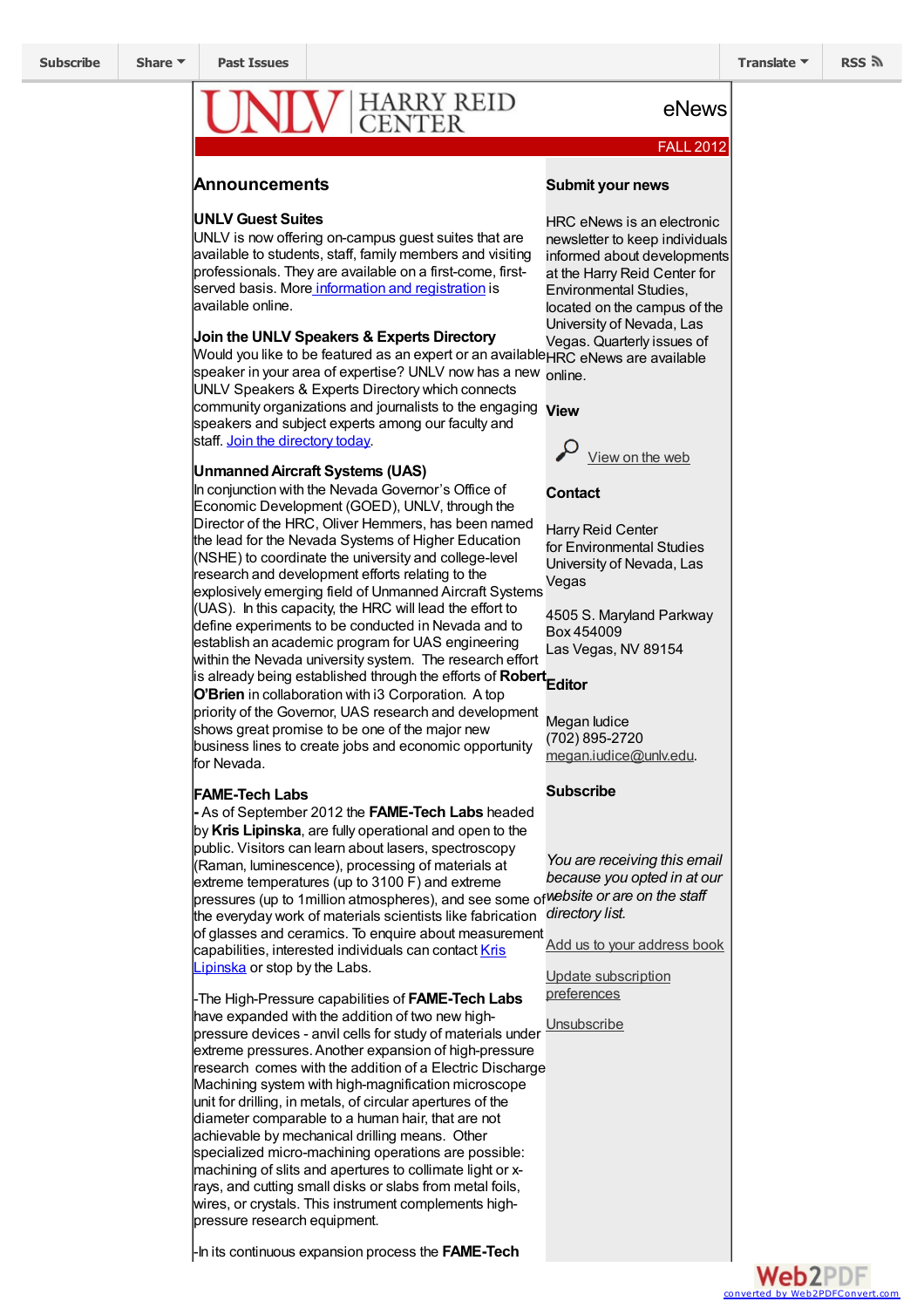# HARRY REID<br>CENTER

# FALL 2012

eNews

# **Announcements**

# **UNLV Guest Suites**

UNLV is now offering on-campus guest suites that are available to students, staff, family members and visiting professionals. They are available on a first-come, firstserved basis. More [information](http://go.unlv.edu/eventservices/guestsuites) and registration is available online.

# **Join the UNLV Speakers & Experts Directory**

Would you like to be featured as an expert or an available HRC eNews are available speaker in your area of expertise? UNLV now has a new online.

UNLV Speakers & Experts Directory which connects community organizations and journalists to the engaging **View** speakers and subject experts among our faculty and staff. Join the [directory](http://news.unlv.edu/speakers-experts/join-the-directory) today.

## **UnmannedAircraft Systems (UAS)**

In coniunction with the Nevada Governor's Office of Economic Development (GOED), UNLV, through the Director of the HRC, Oliver Hemmers, has been named the lead for the Nevada Systems of Higher Education (NSHE) to coordinate the university and college-level research and development efforts relating to the explosively emerging field of Unmanned Aircraft Systems (UAS). In this capacity, the HRC will lead the effort to define experiments to be conducted in Nevada and to establish an academic program for UAS engineering within the Nevada university system. The research effort is already being established through the efforts of **Robert Editor O'Brien** in collaboration with i3 Corporation. A top priority of the Governor, UAS research and development shows great promise to be one of the major new business lines to create jobs and economic opportunity for Nevada.

#### **FAME-Tech Labs**

**-** As of September 2012 the **FAME-Tech Labs** headed by**Kris Lipinska**, are fully operational and open to the public. Visitors can learn about lasers, spectroscopy (Raman, luminescence), processing of materials at extreme temperatures (up to 3100 F) and extreme pressures (up to 1million atmospheres), and see some of *website or are on the staff* the everyday work of materials scientists like fabrication *directory list.* of glasses and ceramics. To enquire about measurement [capabilities,](mailto:kristina.lipinska@unlv.edu) interested individuals can contact Kris Lipinska or stop by the Labs.

-The High-Pressure capabilities of **FAME-Tech Labs** have expanded with the addition of two new highpressure devices - anvil cells for study of materials under extreme pressures.Another expansion of high-pressure research comes with the addition of a Electric Discharge Machining system with high-magnification microscope unit for drilling, in metals, of circular apertures of the diameter comparable to a human hair, that are not achievable by mechanical drilling means. Other specialized micro-machining operations are possible: machining of slits and apertures to collimate light or xrays, and cutting small disks or slabs from metal foils, wires, or crystals. This instrument complements highpressure research equipment.

-In its continuous expansion process the **FAME-Tech**

# **Submit your news**

HRC eNews is an electronic newsletter to keep individuals informed about developments at the Harry Reid Center for Environmental Studies, located on the campus of the University of Nevada, Las Vegas. Quarterly issues of



# **Contact**

Harry Reid Center for Environmental Studies University of Nevada, Las Vegas

4505 S. Maryland Parkway Box 454009 Las Vegas, NV 89154

Megan ludice (702) 895-2720 [megan.iudice@unlv.edu](mailto:megan.iudice@unlv.edu?subject=Newsletter Inquiry).

**Subscribe**

*You are receiving this email because you opted in at our*

Add us to your [address](http://unlv.us2.list-manage.com/vcard?u=a37601485a9c3795dc442c949&id=6bef6a2453) book

Update [subscription](http://unlv.us2.list-manage.com/profile?u=a37601485a9c3795dc442c949&id=6bef6a2453&e=[UNIQID]) preferences

**[Unsubscribe](http://unlv.us2.list-manage.com/unsubscribe?u=a37601485a9c3795dc442c949&id=6bef6a2453&e=[UNIQID]&c=c9e6ba4566)** 

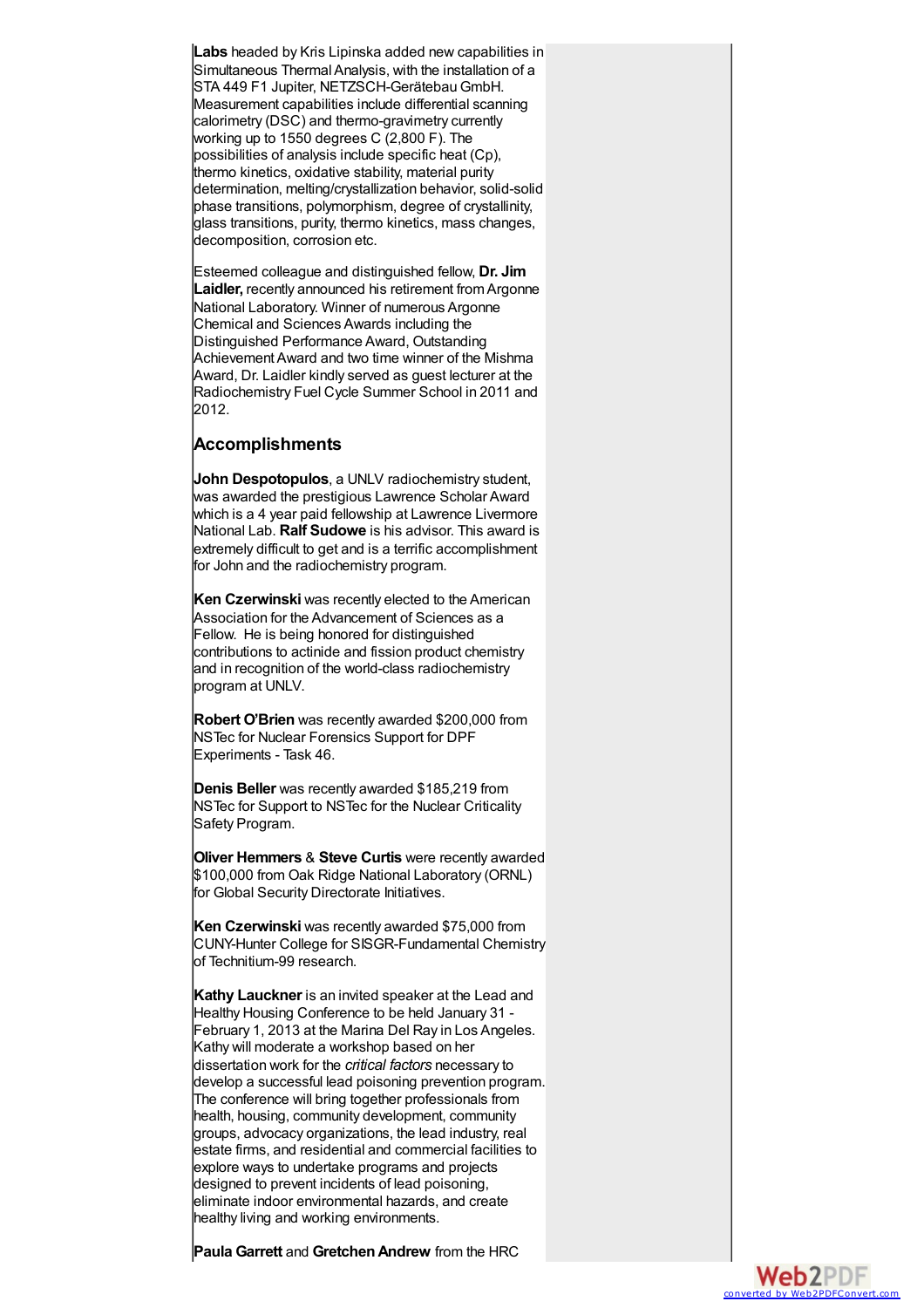**Labs** headed by Kris Lipinska added new capabilities in Simultaneous Thermal Analysis, with the installation of a STA 449 F1 Jupiter, NETZSCH-GerätebauGmbH. Measurement capabilities include differential scanning calorimetry (DSC) and thermo-gravimetry currently working up to 1550 degrees C (2,800 F). The possibilities of analysis include specific heat (Cp), thermo kinetics, oxidative stability, material purity determination, melting/crystallization behavior, solid-solid phase transitions, polymorphism, degree of crystallinity, glass transitions, purity, thermo kinetics, mass changes, decomposition, corrosion etc.

Esteemed colleague and distinguished fellow, **Dr. Jim Laidler,** recently announced his retirement from Argonne National Laboratory. Winner of numerous Argonne Chemical and Sciences Awards including the Distinguished Performance Award, Outstanding AchievementAward and two time winner of the Mishma Award, Dr. Laidler kindly served as guest lecturer at the Radiochemistry Fuel Cycle Summer School in 2011 and 2012.

# **Accomplishments**

**John Despotopulos**, a UNLV radiochemistry student, was awarded the prestigious Lawrence Scholar Award which is a 4 year paid fellowship at Lawrence Livermore National Lab. **Ralf Sudowe** is his advisor. This award is extremely difficult to get and is a terrific accomplishment for John and the radiochemistry program.

**Ken Czerwinski** was recently elected to the American Association for the Advancement of Sciences as a Fellow. He is being honored for distinguished contributions to actinide and fission product chemistry and in recognition of the world-class radiochemistry program at UNLV.

**Robert O'Brien** was recently awarded \$200,000 from NSTec for Nuclear Forensics Support for DPF Experiments - Task 46.

**Denis Beller** was recently awarded \$185,219 from NSTec for Support to NSTec for the Nuclear Criticality Safety Program.

**Oliver Hemmers** & **Steve Curtis** were recently awarded \$100,000 from Oak Ridge National Laboratory (ORNL) for Global Security Directorate Initiatives.

**Ken Czerwinski** was recently awarded \$75,000 from CUNY-Hunter College for SISGR-Fundamental Chemistry of Technitium-99 research.

**Kathy Lauckner** is an invited speaker at the Lead and Healthy Housing Conference to be held January 31 - February 1, 2013 at the Marina Del Ray in Los Angeles. Kathy will moderate a workshop based on her dissertation work for the *critical factors* necessary to develop a successful lead poisoning prevention program. The conference will bring together professionals from health, housing, community development, community groups, advocacy organizations, the lead industry, real estate firms, and residential and commercial facilities to explore ways to undertake programs and projects designed to prevent incidents of lead poisoning, eliminate indoor environmental hazards, and create healthy living and working environments.

**Paula Garrett** and **GretchenAndrew** from the HRC

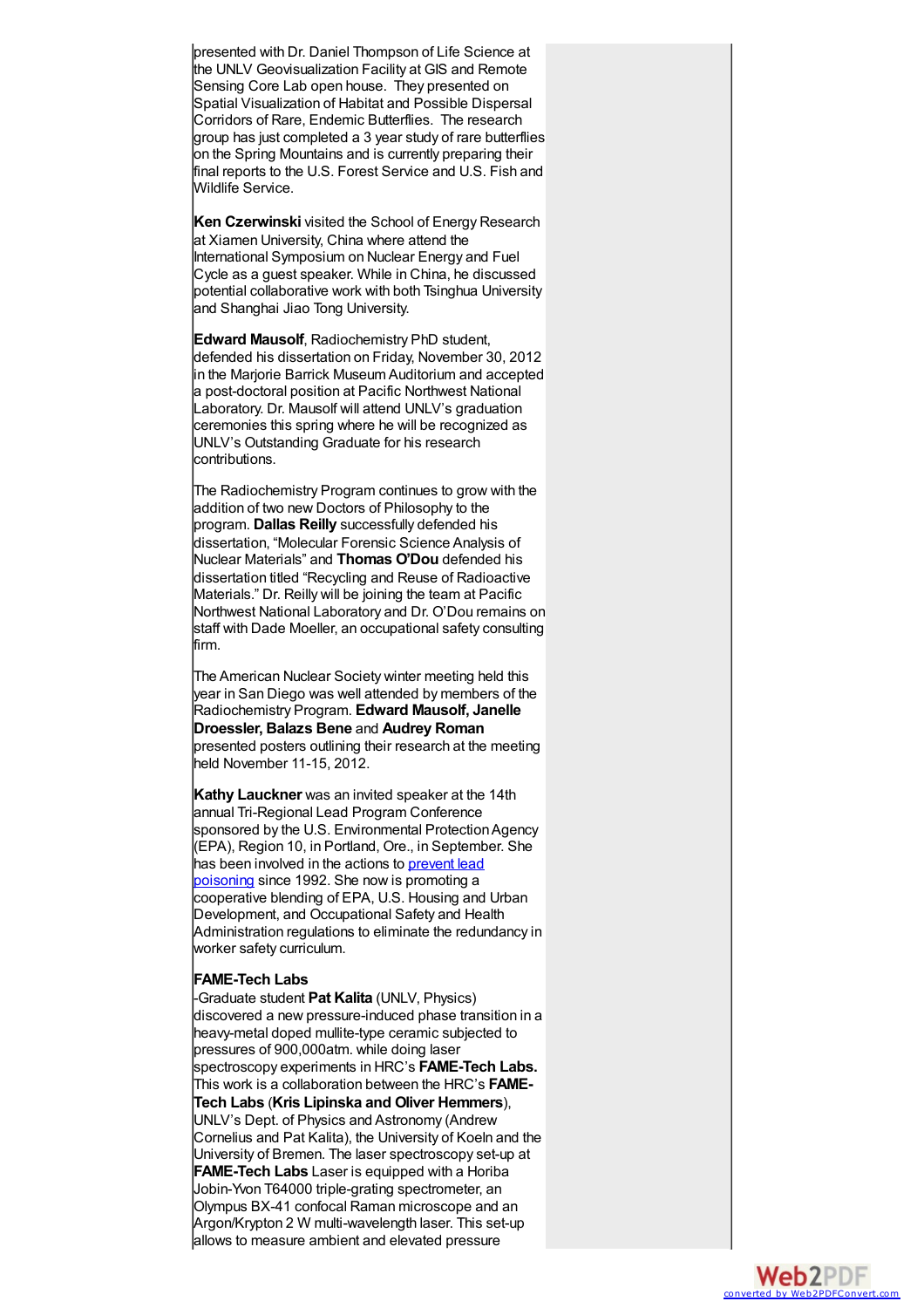presented with Dr. Daniel Thompson of Life Science at presented with Dr. Daniel Thompson of Life Science at<br>the UNLV Geovisualization Facility at GIS and Remote Sensing Core Lab open house. They presented on Spatial Visualization of Habitat and Possible Dispersal Corridors of Rare, Endemic Butterflies. The research group has just completed a 3 year study of rare butterflie s on the Spring Mountains and is currently preparing their final reports to the U.S. Forest Service and U.S. Fish and Wildlife Service.

Ken Czerwinski visited the School of Energy Research at Xiamen University, China where attend the International Symposium on Nuclear Energy and Fuel Cycle as a guest speaker. While in China, he discuss e d potential collaborative work with both Tsinghua University and Shanghai Jiao Tong University.

Edward Mausolf, Radiochemistry PhD student, defended his dissertation on Friday, November 30, 2012 in the Marjorie Barrick Museum Auditorium and accepted a post-doctoral position at Pacific Northwest National Laboratory. Dr. Mausolf will attend UNLV's graduation ceremonies this spring where he will be recognized as UNLV's Outstanding Graduate for his research contributions.

The Radiochemistry Program continues to grow with the addition of two new Doctors of Philosophy to the program. **Dallas Reilly** successfully defended his dissertation, "Molecular Forensic Science Analysis of Nuclear Materials" and **Thomas O'Dou** defended his dissertation titled "Recycling and Reuse of Radioactive Materials." Dr. Reilly will be joining the team at Pacific Northwest National Laboratory and Dr. O'Dou remains on staff with Dade Moeller, an occupational safety consulting firm.

The American Nuclear Society winter meeting held this year in San Diego was well attended by members of the Radiochemistry Program. **Edward Mausolf, Janelle Droessler, Balazs Bene** and **Audrey Roman** presented posters outlining their research at the meeting held November 11-15, 2012.

**Kathy Lauckner** was an invited speaker at the 14th annual Tri-Regional Lead Program Conference sponsored by the U.S. Environmental Protection Agency (EPA), Region 10, in Portland, Ore., in September. She has been [involved](http://www.epa.gov/lead/) in the actions to prevent lead poisoning since 1992. She now is promoting a cooperative blending of EPA, U.S. Housing and Urban Development, and Occupational Safety and Health Administration regulations to eliminate the redundancy in worker safety curriculum.

#### **FAME-Tech Labs**

-Graduate student **Pat Kalita** (UNLV, Physics) discovered a new pressure-induced phase transition in a heavy-metal doped mullite-type ceramic subjected to pressures of 900,000atm. while doing laser spectroscopy experiments in HRC's **FAME-Tech Labs.** This work is a collaboration between the HRC's **FAME- Tech Labs** (**Kris Lipinska and Oliver Hemmers**), UNLV's Dept. of Physics and Astronomy (Andrew Cornelius and Pat Kalita), the University of Koeln and the University of Bremen. The laser spectroscopy set-up at **FAME-Tech Labs** Laser is equipped with a Horiba Jobin-Yvon T64000 triple-grating spectrometer, an Olympus BX-41 confocal Raman microscope and an Argon/Krypton 2 W multi-wavelength laser. This set-up allows to measure ambient and elevated pressure

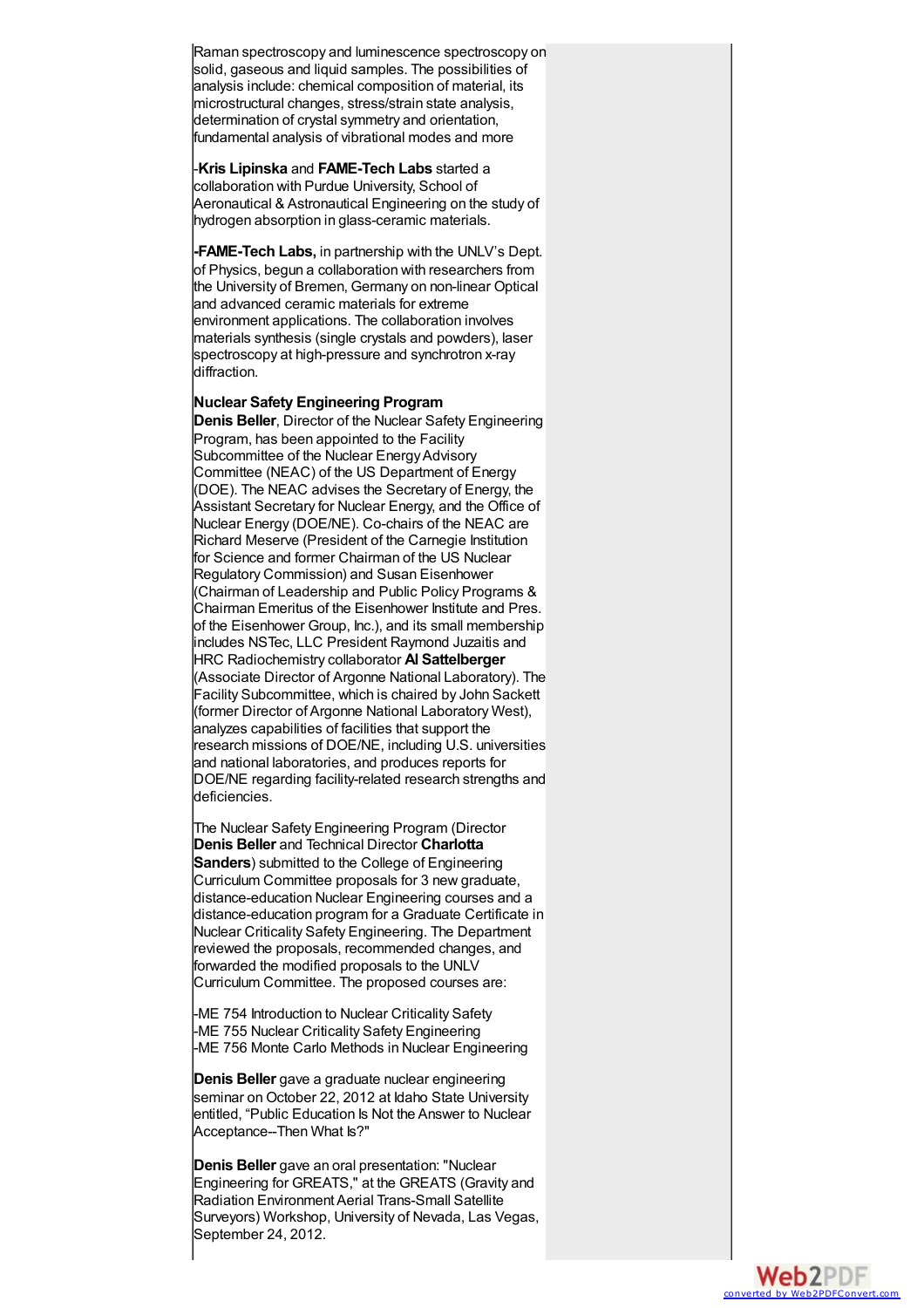Raman spectroscopy and luminescence spectroscopy on solid, gaseous and liquid samples. The possibilities of analysis include: chemical composition of material, its microstructural changes, stress/strain state analysis, determination of crystal symmetry and orientation, fundamental analysis of vibrational modes and more

-**Kris Lipinska** and **FAME-Tech Labs** started a collaboration with Purdue University, School of Aeronautical & Astronautical Engineering on the stud y o f hydrogen absorption in glass-ceramic materials.

**-FAME-Tech Labs,** in partnership with the UNLV's Dept. of Physics, begun a collaboration with researchers from the University of Bremen, Germany on non-linear Optical and advanced ceramic materials for extreme environment applications. The collaboration involves materials synthesis (single crystals and powders), laser spectroscopy at high-pressure and synchrotron x-ray diffraction.

# **Nuclear Safety Engineering Program**

**Denis Beller**, Director of the Nuclear Safety Engineering Program, has been appointed to the Facility Subcommittee of the Nuclear EnergyAdvisory Committee (NEAC) of the US Department of Energy (DOE). The NEAC advises the Secretary of Energy, the Assistant Secretary for Nuclear Energy, and the Office of Nuclear Energy (DOE/NE). Co-chairs of the NEAC are Richard Meserve (President of the Carnegie Institution for Science and former Chairman of the US Nuclear Regulatory Commission) and Susan Eisenhower (Chairman of Leadership and Public Policy Programs & Chairman Emeritus of the Eisenhower Institute and Pres. of the Eisenhower Group, Inc.), and its small membership includes NSTec, LLC President Raymond Juzaitis and HRC Radiochemistry collaborator **Al Sattelberger** (Associate Director of Argonne National Laboratory). The Facility Subcommittee, which is chaired by John Sackett (former Director ofArgonne National Laboratory West), analyzes capabilities of facilities that support the research missions of DOE/NE, including U.S. universities and national laboratories, and produces reports for DOE/NE regarding facility-related research strengths and deficiencies.

The Nuclear Safety Engineering Program (Director **Denis Beller** and Technical Director **Charlotta Sanders**) submitted to the College of Engineering Curriculum Committee proposals for 3 new graduate, distance-education Nuclear Engineering courses and a distance-education program for a Graduate Certificate in Nuclear Criticality Safety Engineering. The Department reviewed the proposals, recommended changes, and forwarded the modified proposals to the UNLV Curriculum Committee. The proposed courses are:

-ME 754 Introduction to Nuclear Criticality Safety -ME 755 Nuclear Criticality Safety Engineering -ME 756 Monte Carlo Methods in Nuclear Engineering

**Denis Beller** gave a graduate nuclear engineering seminar on October 22, 2012 at Idaho State University entitled, "Public Education Is Not the Answer to Nuclear Acceptance--Then What Is?"

**Denis Beller** gave an oral presentation: "Nuclear Engineering for GREATS," at the GREATS (Gravity and Radiation Environment Aerial Trans-Small Satellite Surveyors) Workshop, University of Nevada, Las Vegas, September 24, 2012.

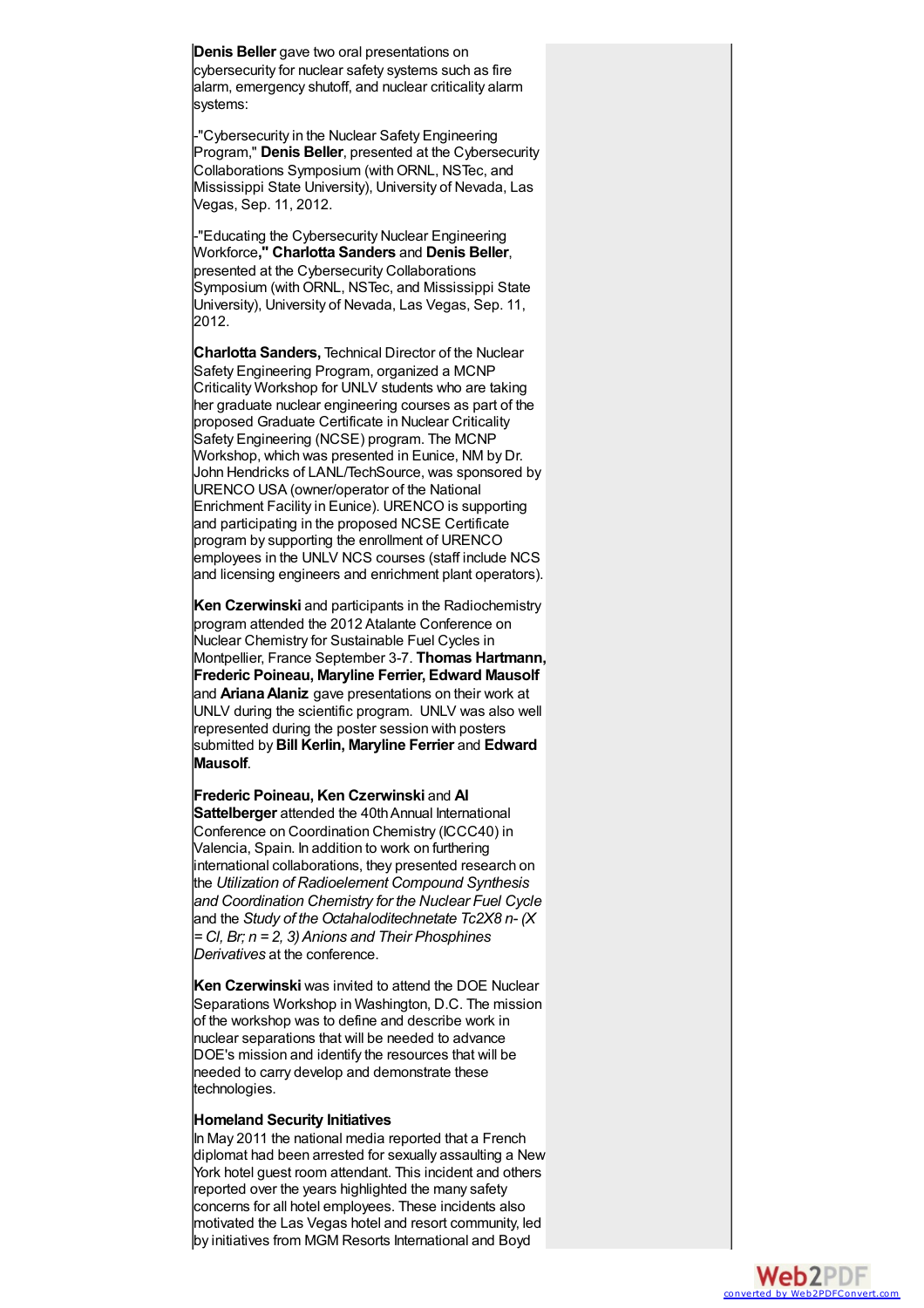Denis Beller gave two oral presentations on cybersecurity for nuclear safety systems such as fire alarm, emergency shutoff, and nuclear criticality alarm systems:

-"Cybersecurity in the Nuclear Safety Engineering Program," Denis Beller, presented at the Cybersecurity Collaborations Symposium (with ORNL, NSTec, and Mississippi State University), University of Nevada, Las Vegas, Sep. 11, 2012.

-"Educating the Cybersecurity Nuclear Engineering Workforce," Charlotta Sanders and Denis Beller, presented at the Cybersecurity Collaborations Symposium (with ORNL, NSTec, and Mississippi State University), University of Nevada, Las Vegas, Sep. 11, 2012.

**Charlotta Sanders,** Technical Director of the Nuclear Safety Engineering Program, organized a MCNP Criticality Workshop for UNLV students who are taking her graduate nuclear engineering courses as part of the proposed Graduate Certificate in Nuclear Criticality Safety Engineering (NCSE) program. The MCNP Workshop, which was presented in Eunice, NM by Dr. John Hendricks of LANL/TechSource, was sponsored by URENCO USA (owner/operator of the National Enrichment Facility in Eunice). URENCO is supporting and participating in the proposed NCSE Certificate program by supporting the enrollment of URENCO employees in the UNLV NCS courses (staff include NCS and licensing engineers and enrichment plant operators).

**Ken Czerwinski** and participants in the Radiochemistry program attended the 2012 Atalante Conference on Nuclear Chemistry for Sustainable Fuel Cycles in Montpellier, France September 3-7. **Thomas Hartmann, Frederic Poineau, Maryline Ferrier, Edward Mausolf** and **ArianaAlaniz** gave presentations on their work at UNLV during the scientific program. UNLV was also well represented during the poster session with posters submitted by**Bill Kerlin, Maryline Ferrier** and **Edward Mausolf**.

**Frederic Poineau, Ken Czerwinski** and **Al Sattelberger** attended the 40th Annual International Conference on Coordination Chemistry (ICCC40) in Valencia, Spain. In addition to work on furthering international collaborations, they presented research on the *Utilization of Radioelement Compound Synthesis and Coordination Chemistry for the Nuclear Fuel Cycle* and the *Study of the Octahaloditechnetate Tc2X8 n- (X = Cl, Br; n = 2, 3)Anions and Their Phosphines Derivatives* at the conference.

**Ken Czerwinski** was invited to attend the DOE Nuclear Separations Workshop in Washington, D.C. The mission of the workshop was to define and describe work in nuclear separations that will be needed to advance DOE's mission and identify the resources that will be needed to carry develop and demonstrate these technologies.

### **Homeland Security Initiatives**

In May 2011 the national media reported that a French diplomat had been arrested for sexually assaulting a New York hotel guest room attendant. This incident and others reported over the years highlighted the many safety concerns for all hotel employees. These incidents also motivated the Las Vegas hotel and resort community, led by initiatives from MGM Resorts International and Boyd

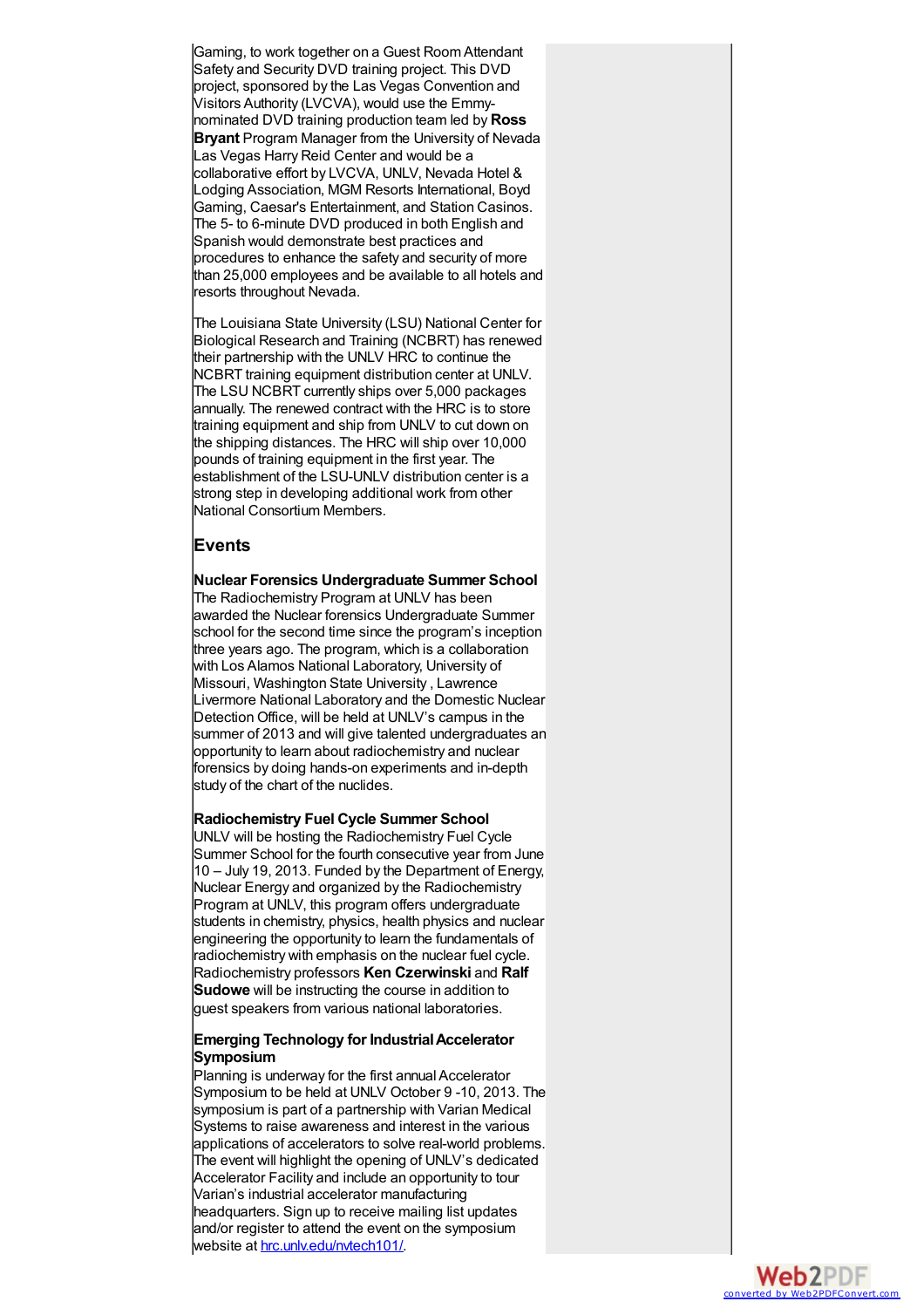Gaming, to work together on a Guest Room Attendant Gaming, to work together on a Guest Room Attendant<br>Safety and Security DVD training project. This DVD project, sponsored by the Las Vegas Convention and Visitors Authority (LVCVA), would use the Emmynominated DVD training production team led by**R o s s Bryant Program Manager from the University of Nevada** Las Vegas Harry Reid Center and would be a collaborative effort by LVCVA, UNLV, Nevada Hotel & Lodging Association, MGM Resorts International, Boyd Gaming, Caesar's Entertainment, and Station Casinos. The 5- to 6-minute DVD produced in both English and Spanish would demonstrate best practices and procedures to enhance the safety and security of more than 25,000 employees and be available to all hotels an d resorts throughout Nevada.

The Louisiana State University (LSU) National Center for Biological Research and Training (NCBRT) has renewed their partnership with the UNLV HRC to continue the NCBRT training equipment distribution center at UNLV. The LSU NCBRT currently ships over 5,000 packages annually. The renewed contract with the HRC is to store training equipment and ship from UNLV to cut down on the shipping distances. The HRC will ship over 10,000 pounds of training equipment in the first year. The establishment of the LSU-UNLV distribution center is a strong step in developing additional work from other National Consortium Members.

# **Events**

# **Nuclear Forensics Undergraduate Summer School**

The Radiochemistry Program at UNLV has been awarded the Nuclear forensics Undergraduate Summer school for the second time since the program's inception three years ago. The program, which is a collaboration with Los Alamos National Laboratory, University of Missouri, Washington State University , Lawrence Livermore National Laboratory and the Domestic Nuclea r Detection Office, will be held at UNLV's campus in the summer of 2013 and will give talented undergraduates an opportunity to learn about radiochemistry and nuclear forensics by doing hands-on experiments and in-depth study of the chart of the nuclides.

# **Radiochemistry Fuel Cycle Summer School**

UNLV will be hosting the Radiochemistry Fuel Cycle Summer School for the fourth consecutive year from June 10 - July 19, 2013. Funded by the Department of Energy, Nuclear Energy and organized by the Radiochemistry Program at UNLV, this program offers undergraduate students in chemistry, physics, health physics and nuclear engineering the opportunity to learn the fundamentals of radiochemistry with emphasis on the nuclear fuel cycle. Radiochemistry professors **Ken Czerwinski** and **Ralf Sudowe** will be instructing the course in addition to lquest speakers from various national laboratories.

# **Emerging Technology for IndustrialAccelerator Symposium**

Planning is underway for the first annual Accelerator Symposium to be held at UNLV October 9 -10, 2013. The symposium is part of a partnership with Varian Medical Systems to raise awareness and interest in the various applications of accelerators to solve real-world problems. The event will highlight the opening of UNLV's dedicated Accelerator Facility and include an opportunity to tour Varian's industrial accelerator manufacturing headquarters. Sign up to receive mailing list updates and/or register to attend the event on the symposium website at hrc.unly.edu/nytech101/

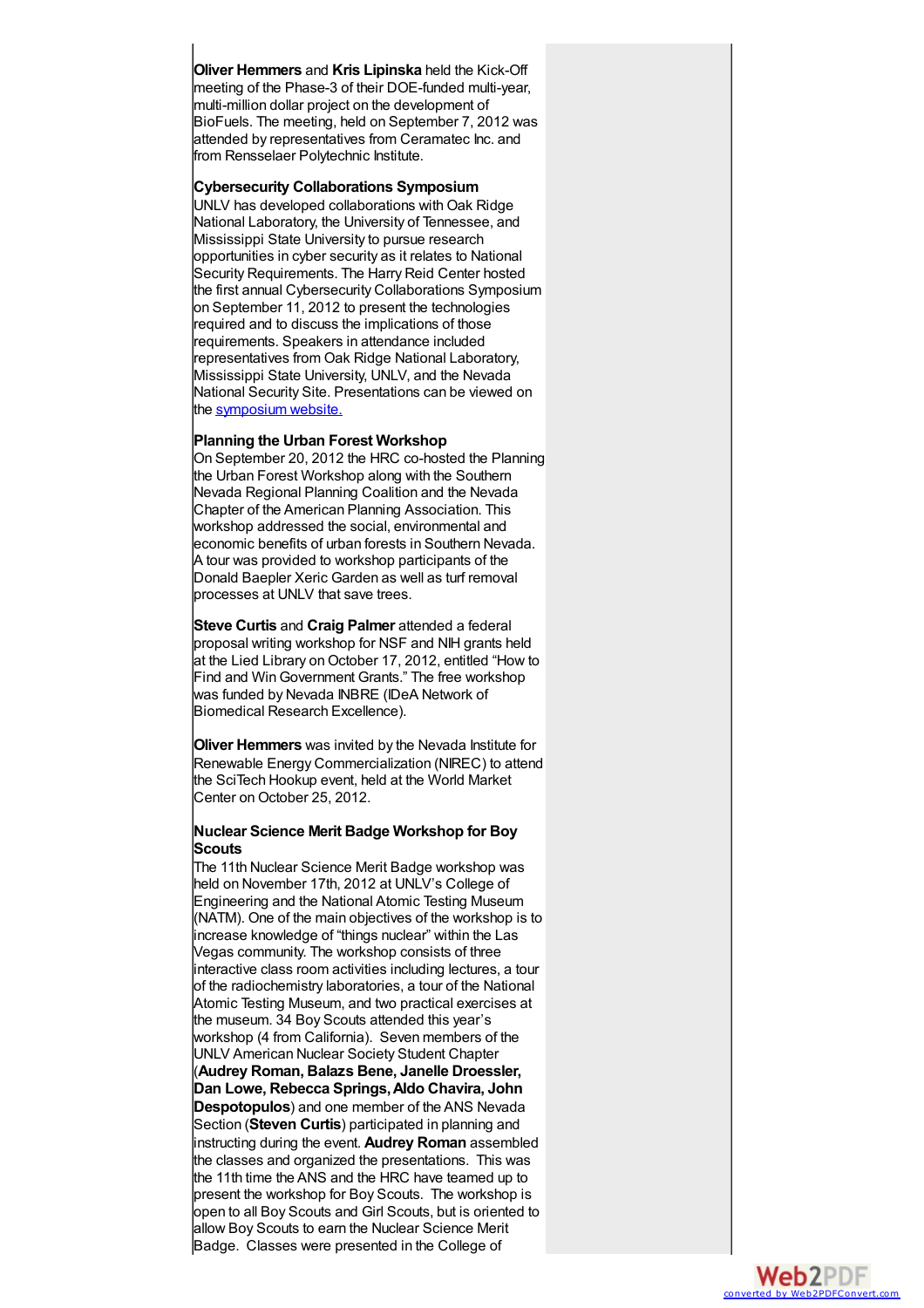Oliver Hemmers and Kris Lipinska held the Kick-Off meeting of the Phase-3 of their DOE-funded multi-year, multi-million dollar project on the development of BioFuels. The meeting, held on September 7, 2012 wa s attended by representatives from Ceramatec Inc. and from Rensselaer Polytechnic Institute.

# **Cybersecurity Collaborations Symposium**

UNLV has developed collaborations with Oak Ridge National Laboratory, the University of Tennessee, and Mississippi State University to pursue research opportunities in cyber security as it relates to National Security Requirements. The Harry Reid Center hosted the first annual Cybersecurity Collaborations Symposiu m on September 11, 2012 to present the technologies required and to discuss the implications of those requirements. Speakers in attendance included representatives from Oak Ridge National Laboratory, Mississippi State University, UNLV, and the Nevada National Security Site. Presentations can be viewed o n the sympo[siu](http://hrc.unlv.edu/cybersecurity/symposium)m website.

# **Planning the Urban Forest Workshop**

On September 20, 2012 the HRC co-hosted the Planning the Urban Forest Workshop along with the Southern Nevada Regional Planning Coalition and the Nevada Chapter of the American Planning Association. This workshop addressed the social, environmental and economic benefits of urban forests in Southern Nevada. A tour was provided to workshop participants of the Donald Baepler Xeric Garden as well as turf removal processes at UNLV that save trees.

**Steve Curtis** and **Craig Palmer** attended a federal proposal writing workshop for NSF and NIH grants held at the Lied Library on October 17, 2012, entitled "How to Find and WinGovernment Grants." The free workshop was funded by Nevada INBRE (IDeA Network of Biomedical Research Excellence).

**Oliver Hemmers** was invited by the Nevada Institute for Renewable Energy Commercialization (NIREC) to attend the SciTech Hookup event, held at the World Market Center on October 25, 2012.

# **Nuclear Science Merit Badge Workshop for Boy Scouts**

The 11th Nuclear Science Merit Badge workshop was held on November 17th, 2012 at UNLV's College of Engineering and the National Atomic Testing Museum (NATM). One of the main objectives of the workshop is to increase knowledge of "things nuclear" within the Las Vegas community. The workshop consists of three interactive class room activities including lectures, a tour of the radiochemistry laboratories, a tour of the National Atomic Testing Museum, and two practical exercises at the museum. 34 Boy Scouts attended this year's workshop (4 from California). Seven members of the UNLV American Nuclear Society Student Chapter (**Audrey Roman, Balazs Bene, Janelle Droessler, Dan Lowe, Rebecca Springs,Aldo Chavira, John Despotopulos**) and one member of the ANS Nevada Section (**Steven Curtis**) participated in planning and instructing during the event. **Audrey Roman** assembled the classes and organized the presentations. This was the 11th time the ANS and the HRC have teamed up to present the workshop for Boy Scouts. The workshop is open to all Boy Scouts and Girl Scouts, but is oriented to allow Boy Scouts to earn the Nuclear Science Merit Badge. Classes were presented in the College of

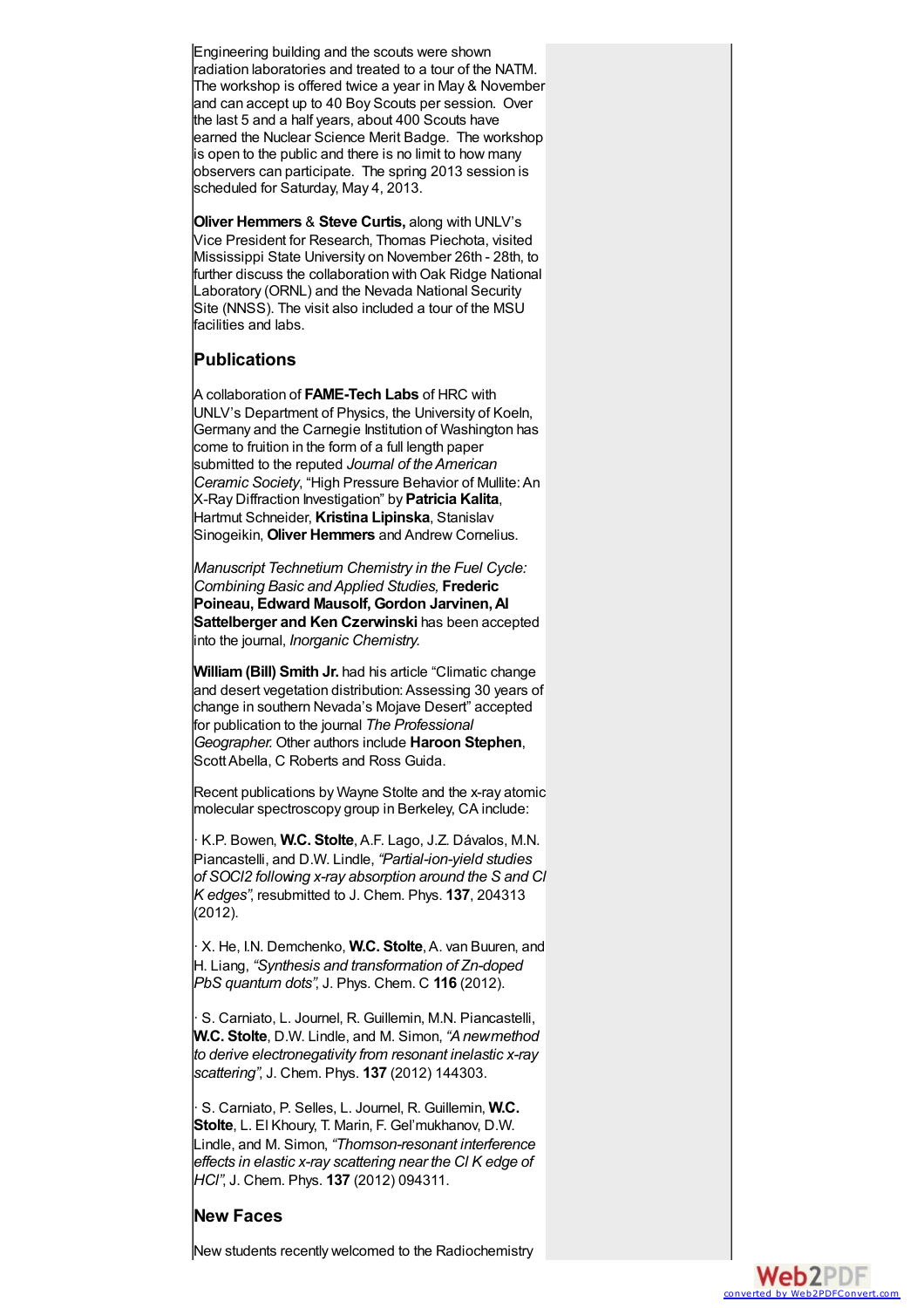Engineering building and the scouts were shown radiation laboratories and treated to a tour of the NATM. The workshop is offered twice a year in May & November and can accept up to 40 Boy Scouts per session. Over the last 5 and a half years, about 400 Scouts have earned the Nuclear Science Merit Badge. The workshop is open to the public and there is no limit to how many observers can participate. The spring 2013 session is scheduled for Saturday, May 4, 2013.

**Oliver Hemmers** & **Steve Curtis,** along with UNLV's Vice President for Research, Thomas Piechota, visited Mississippi State University on November 26th - 28th, to further discuss the collaboration with Oak Ridge National Laboratory (ORNL) and the Nevada National Security Site (NNSS). The visit also included a tour of the MSU facilities and labs.

# **Publications**

A collaboration of **FAME-Tech Labs** of HRC with UNLV's Department of Physics, the University of Koeln, Germany and the Carnegie Institution of Washington has come to fruition in the form of a full length paper submitted to the reputed *Journal of theAmerican Ceramic Society*, "High Pressure Behavior of Mullite:An X-Ray Diffraction Investigation" by **Patricia Kalita**, Hartmut Schneider, **Kristina Lipinska**, Stanislav Sinogeikin, **Oliver Hemmers** and Andrew Cornelius.

*Manuscript Technetium Chemistry in the Fuel Cycle: Combining Basic andApplied Studies,* **Frederic Poineau, Edward Mausolf, Gordon Jarvinen,Al Sattelberger and Ken Czerwinski** has been accepted into the journal, *Inorganic Chemistry.*

**William(Bill) Smith Jr.** had his article "Climatic change and desert vegetation distribution: Assessing 30 years of change in southern Nevada's Mojave Desert" accepted for publication to the journal *The Professional Geographer.* Other authors include **Haroon Stephen**, ScottAbella, C Roberts and Ross Guida.

Recent publications by Wayne Stolte and the x-ray atomic molecular spectroscopy group in Berkeley, CA include:

· K.P. Bowen, **W.C. Stolte**,A.F. Lago, J.Z. Dávalos, M.N. Piancastelli, and D.W. Lindle, *"Partial-ion-yield studies of SOCl2 following x-ray absorption around the S and Cl K edges"*, resubmitted to J. Chem. Phys. **137**, 204313 (2012).

· X. He, I.N. Demchenko, **W.C. Stolte**,A. van Buuren, and H. Liang, *"Synthesis and transformation of Zn-doped PbS quantum dots"*, J. Phys. Chem. C **116** (2012).

· S. Carniato, L. Journel, R. Guillemin, M.N. Piancastelli, **W.C. Stolte**, D.W. Lindle, and M. Simon, *"A newmethod to derive electronegativity from resonant inelastic x-ray scattering"*, J. Chem. Phys. **137** (2012) 144303.

· S. Carniato, P. Selles, L. Journel, R. Guillemin, **W.C. Stolte**, L. El Khoury, T. Marin, F. Gel'mukhanov, D.W. Lindle, and M. Simon, *"Thomson-resonant interference effects in elastic x-ray scattering near the Cl K edge of HCl"*, J. Chem. Phys. **137** (2012) 094311.

# **New Faces**

New students recently welcomed to the Radiochemistry